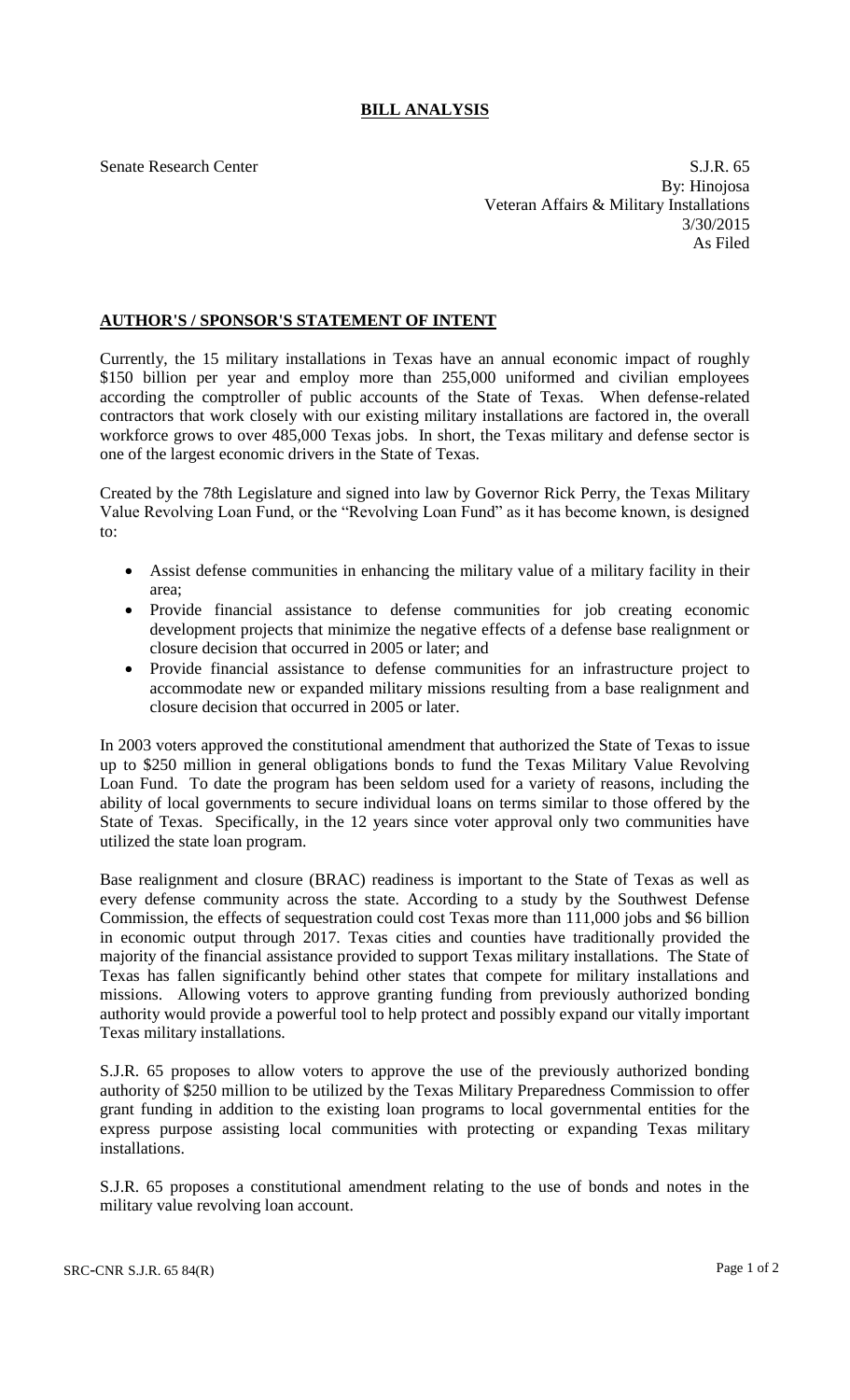## **BILL ANALYSIS**

Senate Research Center S.J.R. 65 By: Hinojosa Veteran Affairs & Military Installations 3/30/2015 As Filed

## **AUTHOR'S / SPONSOR'S STATEMENT OF INTENT**

Currently, the 15 military installations in Texas have an annual economic impact of roughly \$150 billion per year and employ more than 255,000 uniformed and civilian employees according the comptroller of public accounts of the State of Texas. When defense-related contractors that work closely with our existing military installations are factored in, the overall workforce grows to over 485,000 Texas jobs. In short, the Texas military and defense sector is one of the largest economic drivers in the State of Texas.

Created by the 78th Legislature and signed into law by Governor Rick Perry, the Texas Military Value Revolving Loan Fund, or the "Revolving Loan Fund" as it has become known, is designed to:

- Assist defense communities in enhancing the military value of a military facility in their area;
- Provide financial assistance to defense communities for job creating economic development projects that minimize the negative effects of a defense base realignment or closure decision that occurred in 2005 or later; and
- Provide financial assistance to defense communities for an infrastructure project to accommodate new or expanded military missions resulting from a base realignment and closure decision that occurred in 2005 or later.

In 2003 voters approved the constitutional amendment that authorized the State of Texas to issue up to \$250 million in general obligations bonds to fund the Texas Military Value Revolving Loan Fund. To date the program has been seldom used for a variety of reasons, including the ability of local governments to secure individual loans on terms similar to those offered by the State of Texas. Specifically, in the 12 years since voter approval only two communities have utilized the state loan program.

Base realignment and closure (BRAC) readiness is important to the State of Texas as well as every defense community across the state. According to a study by the Southwest Defense Commission, the effects of sequestration could cost Texas more than 111,000 jobs and \$6 billion in economic output through 2017. Texas cities and counties have traditionally provided the majority of the financial assistance provided to support Texas military installations. The State of Texas has fallen significantly behind other states that compete for military installations and missions. Allowing voters to approve granting funding from previously authorized bonding authority would provide a powerful tool to help protect and possibly expand our vitally important Texas military installations.

S.J.R. 65 proposes to allow voters to approve the use of the previously authorized bonding authority of \$250 million to be utilized by the Texas Military Preparedness Commission to offer grant funding in addition to the existing loan programs to local governmental entities for the express purpose assisting local communities with protecting or expanding Texas military installations.

S.J.R. 65 proposes a constitutional amendment relating to the use of bonds and notes in the military value revolving loan account.